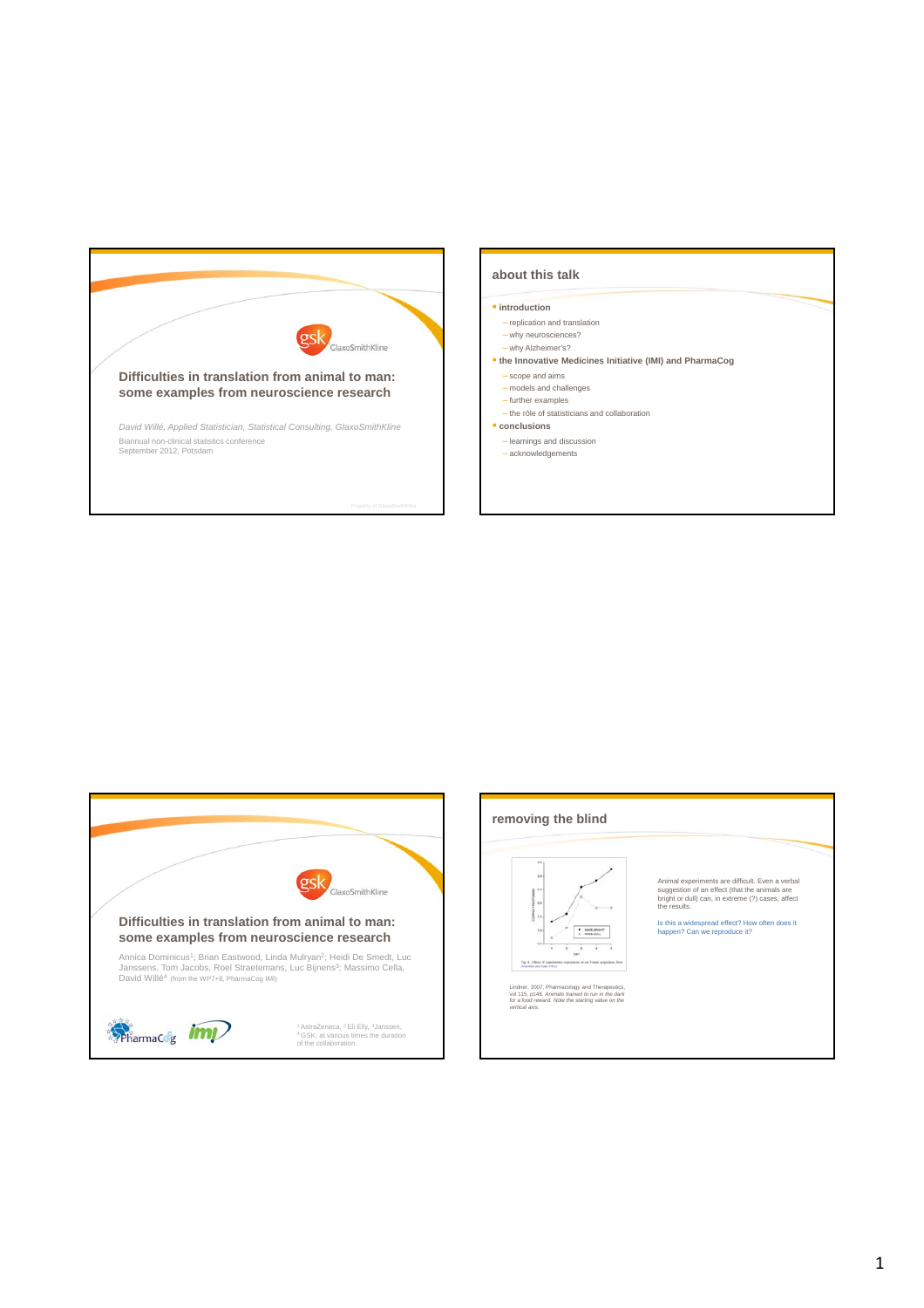

# **about this talk**

### *<u>introduction</u>*

- replication and translation
- why neurosciences? – why Alzheimer's?
- **the Innovative Medicines Initiative (IMI) and PharmaCog** – scope and aims
- models and challenges
- further examples – the rôle of statisticians and collaboration
- **conclusions**
- learnings and discussion
- acknowledgements



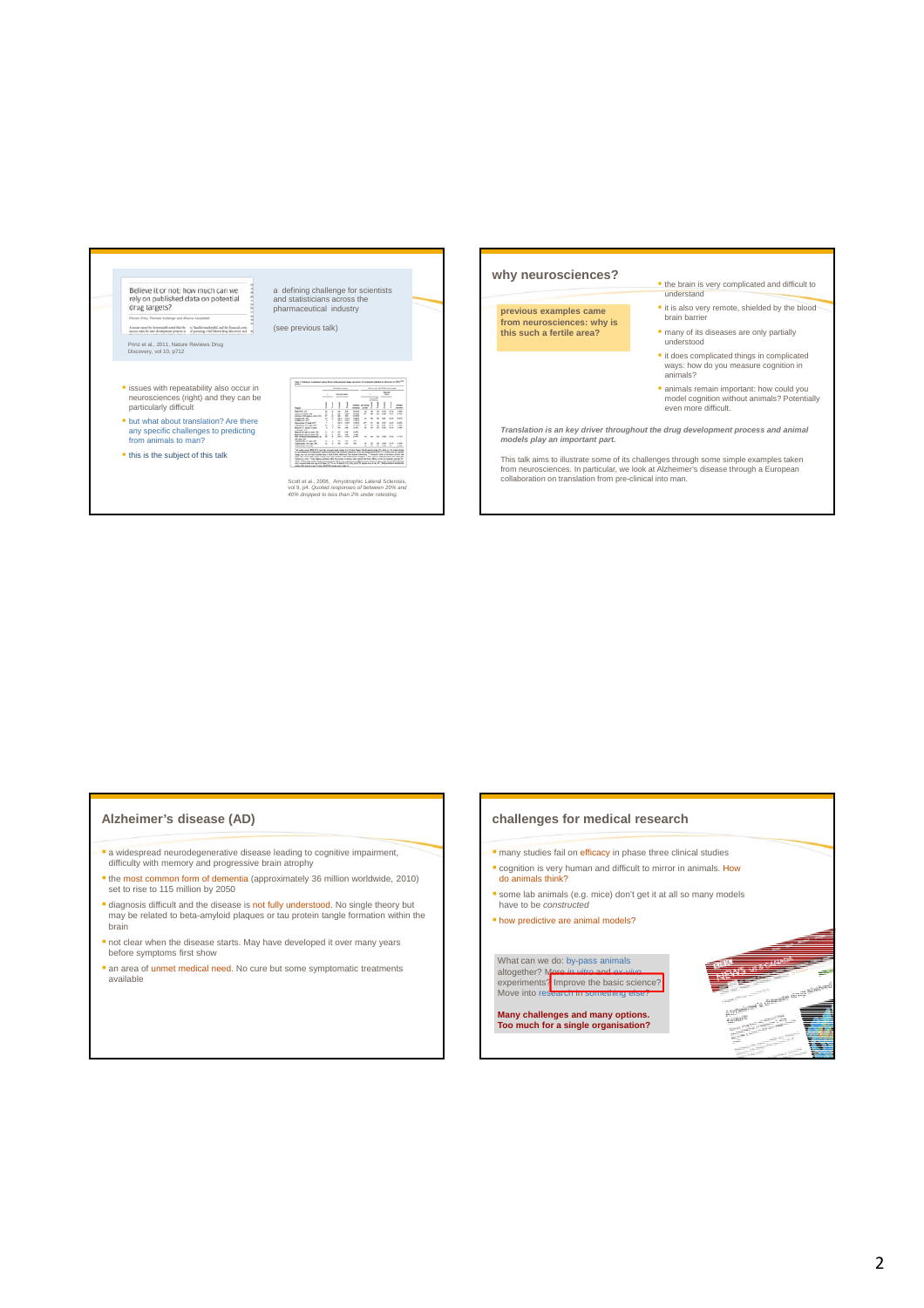

# **Alzheimer's disease (AD)**

- a widespread neurodegenerative disease leading to cognitive impairment, difficulty with memory and progressive brain atrophy
- the most common form of dementia (approximately 36 million worldwide, 2010) set to rise to 115 million by 2050
- **diagnosis difficult and the disease is not fully understood. No single theory but** may be related to beta-amyloid plaques or tau protein tangle formation within the brain
- not clear when the disease starts. May have developed it over many years before symptoms first show
- an area of unmet medical need. No cure but some symptomatic treatments available

# **challenges for medical research**

- **n** many studies fail on efficacy in phase three clinical studies **cognition is very human and difficult to mirror in animals. How**
- do animals think? some lab animals (e.g. mice) don't get it at all so many models have to be *constructed*
- how predictive are animal models?

What can we do: by-pass animals<br>altogether? More *in vitro* and *ex-vivo*<br>experiments? Improve the basic science?<br>Move into research in something else?

**Many challenges and many options. Too much for a single organisation?**

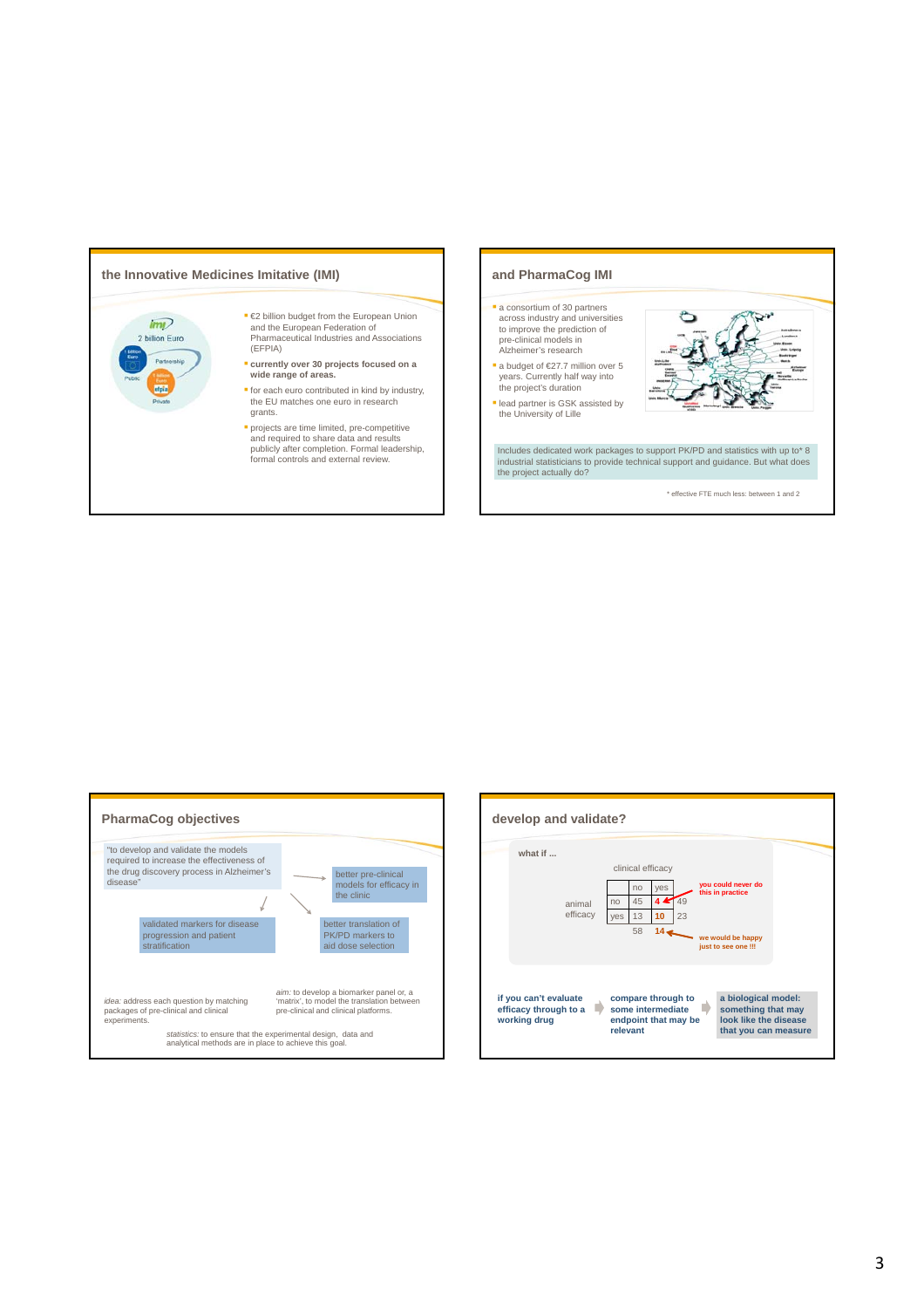

- 
- 
- 
- and required to share data and results publicly after completion. Formal leadership, formal controls and external review.

# **and PharmaCog IMI** a consortium of 30 partners across industry and universities

- to improve the prediction of pre-clinical models in Alzheimer's research
- a budget of €27.7 million over 5 years. Currently half way into the project's duration
- lead partner is GSK assisted by the University of Lille

Includes dedicated work packages to support PK/PD and statistics with up to\* 8 industrial statisticians to provide technical support and guidance. But what does the project actually do?

\* effective FTE much less: between 1 and 2



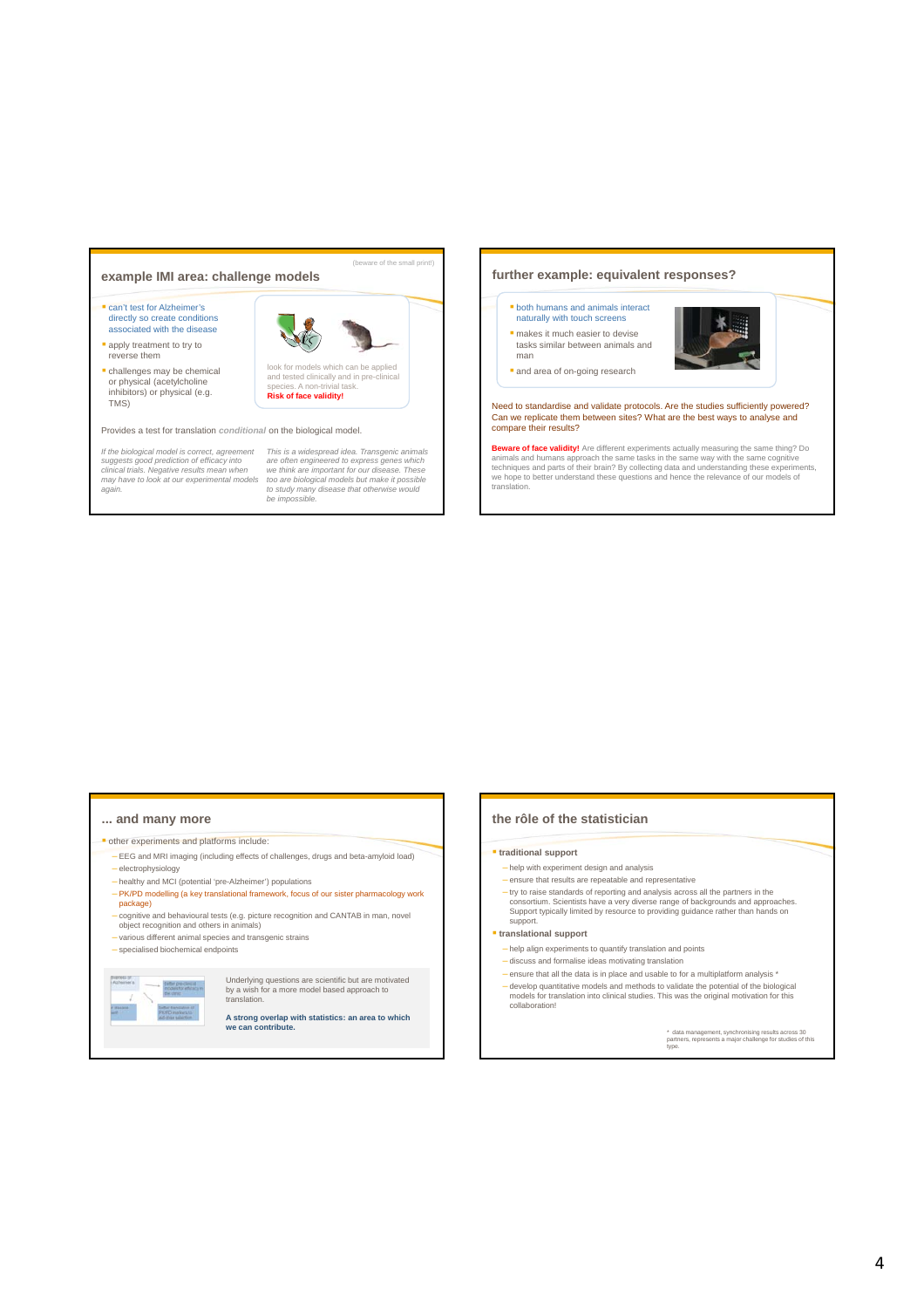### **example IMI area: challenge models** can't test for Alzheimer's directly so create conditions associated with the disease apply treatment to try to reverse them challenges may be chemical or physical (acetylcholine inhibitors) or physical (e.g. TMS) look for models which can be applied and tested clinically and in pre-clinical species. A non-trivial task. **Risk of face validity!** Provides a test for translation *conditional* on the biological model. *If the biological model is correct, agreement suggests good prediction of efficacy into clinical trials. Negative results mean when may have to look at our experimental models again.*  This is a widespread idea. Transgenic animals<br>are often engineered to express genes which<br>we think are important for our disease. These<br>too are biological models but make it possible<br>to study many disease that otherwise wo (beware of the small print!)

# **... and many more**

- $\blacksquare$  other experiments and platforms include
- EEG and MRI imaging (including effects of challenges, drugs and beta-amyloid load) – electrophysiology
- healthy and MCI (potential 'pre-Alzheimer') populations
- PK/PD modelling (a key translational framework, focus of our sister pharmacology work package)
- cognitive and behavioural tests (e.g. picture recognition and CANTAB in man, novel object recognition and others in animals)
- various different animal species and transgenic strains
- specialised biochemical endpoints



Underlying questions are scientific but are motivated by a wish for a more model based approach to translation.

**A strong overlap with statistics: an area to which we can contribute.** 

# **the rôle of the statistician**

- **traditional support**
	- help with experiment design and analysis

**further example: equivalent responses?**

Need to standardise and validate protocols. Are the studies sufficiently powered? Can we replicate them between sites? What are the best ways to analyse and compare their results?

**Beware of face validity!** Are different experiments actually measuring the same thing? Do<br>animals and humans approach the same tasks in the same way with the same cognitive<br>techniques and parts of their brain? By collecti we hope to better understand these questions and hence the relevance of our models of

**both humans and animals interact** naturally with touch screens makes it much easier to devise tasks similar between animals and

and area of on-going research

man

translation.

- ensure that results are repeatable and representative
- try to raise standards of reporting and analysis across all the partners in the<br>consortium. Scientists have a very diverse range of backgrounds and approaches.<br>Support typically limited by resource to providing guidance ra support.

### **translational support**

- help align experiments to quantify translation and points
- discuss and formalise ideas motivating translation
- $-$  ensure that all the data is in place and usable to for a multiplatform analysis  $*$
- develop quantitative models and methods to validate the potential of the biological models for translation into clinical studies. This was the original motivation for this collaboration!

\* data management, synchronising results across 30 partners, represents a major challenge for studies of this type.